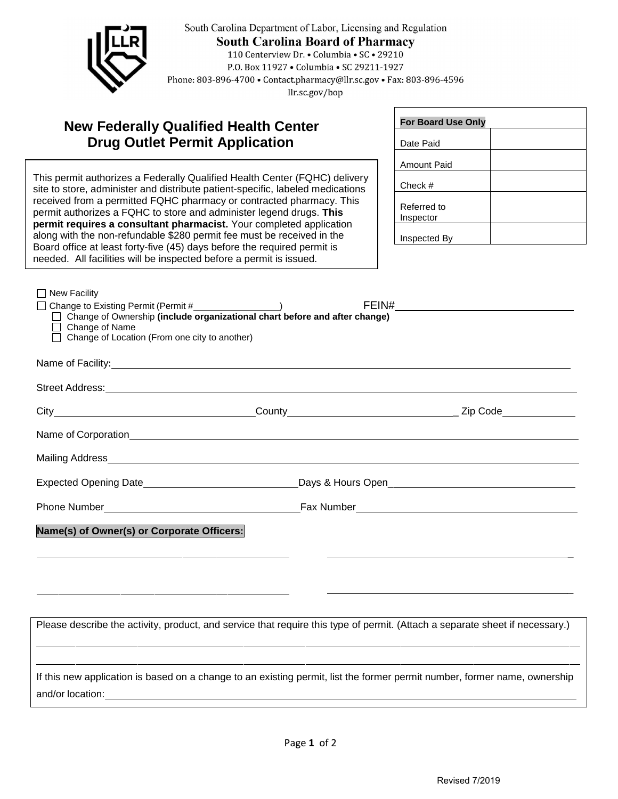

South Carolina Department of Labor, Licensing and Regulation **South Carolina Board of Pharmacy** 110 Centerview Dr. • Columbia • SC • 29210 P.O. Box 11927 . Columbia . SC 29211-1927 Phone: 803-896-4700 • Contact.pharmacy@llr.sc.gov • Fax: 803-896-4596 llr.sc.gov/bop

## **New Federally Qualified Health Center Drug Outlet Permit Application**

received from a permitted FQHC pharmacy or contracted pharmacy. This This permit authorizes a Federally Qualified Health Center (FQHC) delivery site to store, administer and distribute patient-specific, labeled medications permit authorizes a FQHC to store and administer legend drugs. **This permit requires a consultant pharmacist.** Your completed application along with the non-refundable \$280 permit fee must be received in the Board office at least forty-five (45) days before the required permit is needed. All facilities will be inspected before a permit is issued.

| <b>For Board Use Only</b> |  |
|---------------------------|--|
| Date Paid                 |  |
| Amount Paid               |  |
| Check #                   |  |
| Referred to<br>Inspector  |  |
| Inspected By              |  |

| $\Box$ New Facility                                                      |                                                                                                                         |  |
|--------------------------------------------------------------------------|-------------------------------------------------------------------------------------------------------------------------|--|
| □ Change to Existing Permit (Permit #__________________)                 |                                                                                                                         |  |
|                                                                          | □ Change of Ownership (include organizational chart before and after change)                                            |  |
| $\Box$ Change of Name<br>□ Change of Location (From one city to another) |                                                                                                                         |  |
|                                                                          |                                                                                                                         |  |
|                                                                          |                                                                                                                         |  |
|                                                                          |                                                                                                                         |  |
|                                                                          | Street Address: <u>Alexander Address:</u> Alexander Address: Alexander Address: Alexander Address: Alexander Address: A |  |
|                                                                          |                                                                                                                         |  |
|                                                                          |                                                                                                                         |  |
|                                                                          |                                                                                                                         |  |
|                                                                          |                                                                                                                         |  |
|                                                                          |                                                                                                                         |  |
|                                                                          |                                                                                                                         |  |
|                                                                          |                                                                                                                         |  |
|                                                                          |                                                                                                                         |  |
| Name(s) of Owner(s) or Corporate Officers:                               |                                                                                                                         |  |
|                                                                          |                                                                                                                         |  |
|                                                                          |                                                                                                                         |  |
|                                                                          |                                                                                                                         |  |
|                                                                          |                                                                                                                         |  |
|                                                                          |                                                                                                                         |  |

Please describe the activity, product, and service that require this type of permit. (Attach a separate sheet if necessary.) If this new application is based on a change to an existing permit, list the former permit number, former name, ownership and/or location: